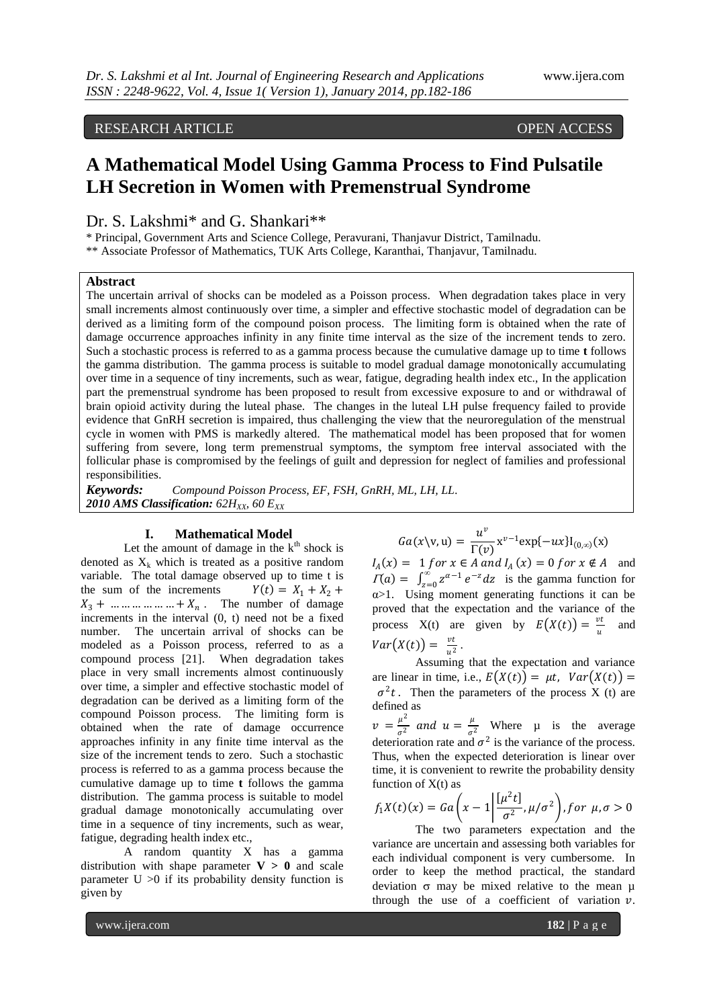RESEARCH ARTICLE OPEN ACCESS

# **A Mathematical Model Using Gamma Process to Find Pulsatile LH Secretion in Women with Premenstrual Syndrome**

Dr. S. Lakshmi\* and G. Shankari\*\*

\* Principal, Government Arts and Science College, Peravurani, Thanjavur District, Tamilnadu. \*\* Associate Professor of Mathematics, TUK Arts College, Karanthai, Thanjavur, Tamilnadu.

## **Abstract**

The uncertain arrival of shocks can be modeled as a Poisson process. When degradation takes place in very small increments almost continuously over time, a simpler and effective stochastic model of degradation can be derived as a limiting form of the compound poison process. The limiting form is obtained when the rate of damage occurrence approaches infinity in any finite time interval as the size of the increment tends to zero. Such a stochastic process is referred to as a gamma process because the cumulative damage up to time **t** follows the gamma distribution. The gamma process is suitable to model gradual damage monotonically accumulating over time in a sequence of tiny increments, such as wear, fatigue, degrading health index etc., In the application part the premenstrual syndrome has been proposed to result from excessive exposure to and or withdrawal of brain opioid activity during the luteal phase. The changes in the luteal LH pulse frequency failed to provide evidence that GnRH secretion is impaired, thus challenging the view that the neuroregulation of the menstrual cycle in women with PMS is markedly altered. The mathematical model has been proposed that for women suffering from severe, long term premenstrual symptoms, the symptom free interval associated with the follicular phase is compromised by the feelings of guilt and depression for neglect of families and professional responsibilities.

*Keywords: Compound Poisson Process, EF, FSH, GnRH, ML, LH, LL. 2010 AMS Classification: 62HXX, 60 EXX*

#### **I. Mathematical Model**

Let the amount of damage in the  $k<sup>th</sup>$  shock is denoted as  $X_k$  which is treated as a positive random variable. The total damage observed up to time t is the sum of the increments  $Y(t) = X_1 + X_2 +$  $X_3 + \dots + \dots + X_n$ . The number of damage increments in the interval (0, t) need not be a fixed number. The uncertain arrival of shocks can be modeled as a Poisson process, referred to as a compound process [21]. When degradation takes place in very small increments almost continuously over time, a simpler and effective stochastic model of degradation can be derived as a limiting form of the compound Poisson process. The limiting form is obtained when the rate of damage occurrence approaches infinity in any finite time interval as the size of the increment tends to zero. Such a stochastic process is referred to as a gamma process because the cumulative damage up to time **t** follows the gamma distribution. The gamma process is suitable to model gradual damage monotonically accumulating over time in a sequence of tiny increments, such as wear, fatigue, degrading health index etc.,

A random quantity X has a gamma distribution with shape parameter  $V > 0$  and scale parameter  $U > 0$  if its probability density function is given by

$$
Ga(x\backslash v, u) = \frac{u^v}{\Gamma(v)} x^{v-1} \exp\{-ux\} I_{(0,\infty)}(x)
$$

 $I_A(x) = 1$  f or  $x \in A$  and  $I_A(x) = 0$  f or  $x \notin A$  and  $\Gamma(a) = \int_{z=0}^{\infty} z^{\alpha-1} e^{-z} dz$  is the gamma function for α>1. Using moment generating functions it can be proved that the expectation and the variance of the process X(t) are given by  $E(X(t)) = \frac{vt}{t}$  $\frac{u}{u}$  and  $Var(X(t)) = \frac{vt}{\sqrt{2}}$  $rac{u}{u^2}$ .

Assuming that the expectation and variance are linear in time, i.e.,  $E(X(t)) = \mu t$ ,  $Var(X(t)) =$  $\sigma^2 t$ . Then the parameters of the process X (t) are defined as

 $v = \frac{\mu^2}{a^2}$  $\frac{\mu^2}{\sigma^2}$  and  $u = \frac{\mu}{\sigma}$  $\frac{\mu}{\sigma^2}$  Where  $\mu$  is the average deterioration rate and  $\sigma^2$  is the variance of the process. Thus, when the expected deterioration is linear over time, it is convenient to rewrite the probability density function of  $X(t)$  as

$$
f_1X(t)(x) = Ga\left(x - 1\left|\frac{[\mu^2 t]}{\sigma^2}, \mu/\sigma^2\right), \text{for } \mu, \sigma > 0
$$

The two parameters expectation and the variance are uncertain and assessing both variables for each individual component is very cumbersome. In order to keep the method practical, the standard deviation  $\sigma$  may be mixed relative to the mean  $\mu$ through the use of a coefficient of variation  $\nu$ .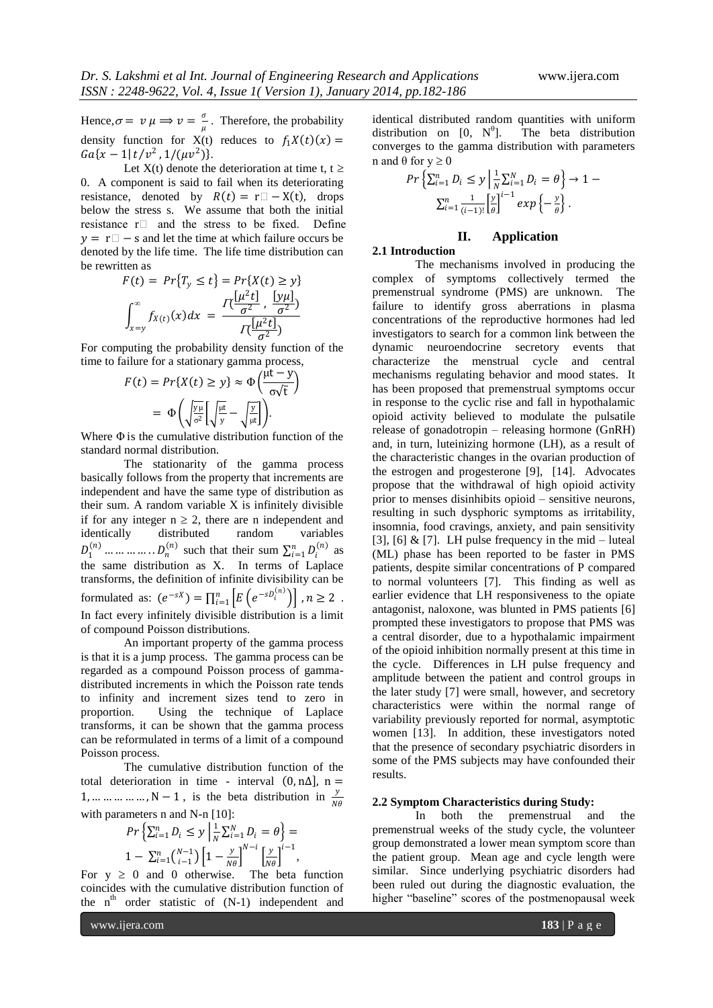Hence,  $\sigma = v \mu \Rightarrow v = \frac{\sigma}{\sigma}$  $\frac{\sigma}{\mu}$ . Therefore, the probability density function for  $X(t)$  reduces to  $f_1 X(t)(x) =$  $Ga\{x-1|t/v^2,1/(\mu v^2)\}.$ 

Let  $X(t)$  denote the deterioration at time t,  $t \ge$ 0. A component is said to fail when its deteriorating resistance, denoted by  $R(t) = r$  – X(t), drops below the stress s. We assume that both the initial resistance  $r \Box$  and the stress to be fixed. Define  $y = r$  − s and let the time at which failure occurs be denoted by the life time. The life time distribution can be rewritten as

$$
F(t) = Pr{Ty \le t} = Pr{X(t) \ge y}
$$

$$
\int_{x=y}^{\infty} f_{X(t)}(x) dx = \frac{\prod_{j=1}^{L} \frac{[\mu^2 t]}{\sigma^2}, \frac{[y\mu]}{\sigma^2}}{\prod_{j=1}^{L} \frac{[\mu^2 t]}{\sigma^2}}
$$

For computing the probability density function of the time to failure for a stationary gamma process,

$$
F(t) = Pr\{X(t) \ge y\} \approx \Phi\left(\frac{\mu t - y}{\sigma\sqrt{t}}\right)
$$

$$
= \Phi\left(\sqrt{\frac{yu}{\sigma^2}}\left[\sqrt{\frac{\mu t}{y}} - \sqrt{\frac{y}{\mu t}}\right]\right).
$$

Where  $\Phi$  is the cumulative distribution function of the standard normal distribution.

The stationarity of the gamma process basically follows from the property that increments are independent and have the same type of distribution as their sum. A random variable X is infinitely divisible if for any integer  $n \geq 2$ , there are n independent and identically distributed random variables  $D_1^{(n)}$  ... ... ... ... . .  $D_n^{(n)}$  such that their sum  $\sum_{i=1}^n D_i^{(n)}$  as the same distribution as X. In terms of Laplace transforms, the definition of infinite divisibility can be formulated as:  $(e^{-sX}) = \prod_{i=1}^{n} \left[ E\left(e^{-sD_i^{(n)}}\right) \right]$ ,  $n \ge 2$ . In fact every infinitely divisible distribution is a limit of compound Poisson distributions.

An important property of the gamma process is that it is a jump process. The gamma process can be regarded as a compound Poisson process of gammadistributed increments in which the Poisson rate tends to infinity and increment sizes tend to zero in proportion. Using the technique of Laplace transforms, it can be shown that the gamma process can be reformulated in terms of a limit of a compound Poisson process.

The cumulative distribution function of the total deterioration in time - interval  $(0, n\Delta)$ , n = 1, ... ... ... ... , N – 1, is the beta distribution in  $\frac{y}{N\theta}$ with parameters n and N-n [10]:

$$
Pr\left\{\sum_{i=1}^{n} D_i \le y \mid \frac{1}{N} \sum_{i=1}^{N} D_i = \theta\right\} =
$$
  

$$
1 - \sum_{i=1}^{n} {\binom{N-1}{i-1}} \left[1 - \frac{y}{N\theta}\right]^{N-i} \left[\frac{y}{N\theta}\right]^{i-1},
$$

For  $y \ge 0$  and 0 otherwise. The beta function coincides with the cumulative distribution function of the  $n^{th}$  order statistic of  $(N-1)$  independent and identical distributed random quantities with uniform distribution on [0,  $N^{\theta}$ ]. The beta distribution converges to the gamma distribution with parameters n and θ for  $y \ge 0$ 

$$
Pr\left\{\sum_{i=1}^{n} D_i \leq y \mid \frac{1}{N} \sum_{i=1}^{N} D_i = \theta\right\} \to 1 - \frac{\sum_{i=1}^{n} \frac{1}{N} \left[\frac{y}{\theta}\right]^{i-1} \exp\left\{-\frac{y}{\theta}\right\}}{2 \left(i-1\right)!}.
$$

## **II. Application**

## **2.1 Introduction**

The mechanisms involved in producing the complex of symptoms collectively termed the premenstrual syndrome (PMS) are unknown. The failure to identify gross aberrations in plasma concentrations of the reproductive hormones had led investigators to search for a common link between the dynamic neuroendocrine secretory events that characterize the menstrual cycle and central mechanisms regulating behavior and mood states. It has been proposed that premenstrual symptoms occur in response to the cyclic rise and fall in hypothalamic opioid activity believed to modulate the pulsatile release of gonadotropin – releasing hormone (GnRH) and, in turn, luteinizing hormone (LH), as a result of the characteristic changes in the ovarian production of the estrogen and progesterone [9], [14]. Advocates propose that the withdrawal of high opioid activity prior to menses disinhibits opioid – sensitive neurons, resulting in such dysphoric symptoms as irritability, insomnia, food cravings, anxiety, and pain sensitivity [3], [6] & [7]. LH pulse frequency in the mid – luteal (ML) phase has been reported to be faster in PMS patients, despite similar concentrations of P compared to normal volunteers [7]. This finding as well as earlier evidence that LH responsiveness to the opiate antagonist, naloxone, was blunted in PMS patients [6] prompted these investigators to propose that PMS was a central disorder, due to a hypothalamic impairment of the opioid inhibition normally present at this time in the cycle. Differences in LH pulse frequency and amplitude between the patient and control groups in the later study [7] were small, however, and secretory characteristics were within the normal range of variability previously reported for normal, asymptotic women [13]. In addition, these investigators noted that the presence of secondary psychiatric disorders in some of the PMS subjects may have confounded their results.

#### **2.2 Symptom Characteristics during Study:**

In both the premenstrual and the premenstrual weeks of the study cycle, the volunteer group demonstrated a lower mean symptom score than the patient group. Mean age and cycle length were similar. Since underlying psychiatric disorders had been ruled out during the diagnostic evaluation, the higher "baseline" scores of the postmenopausal week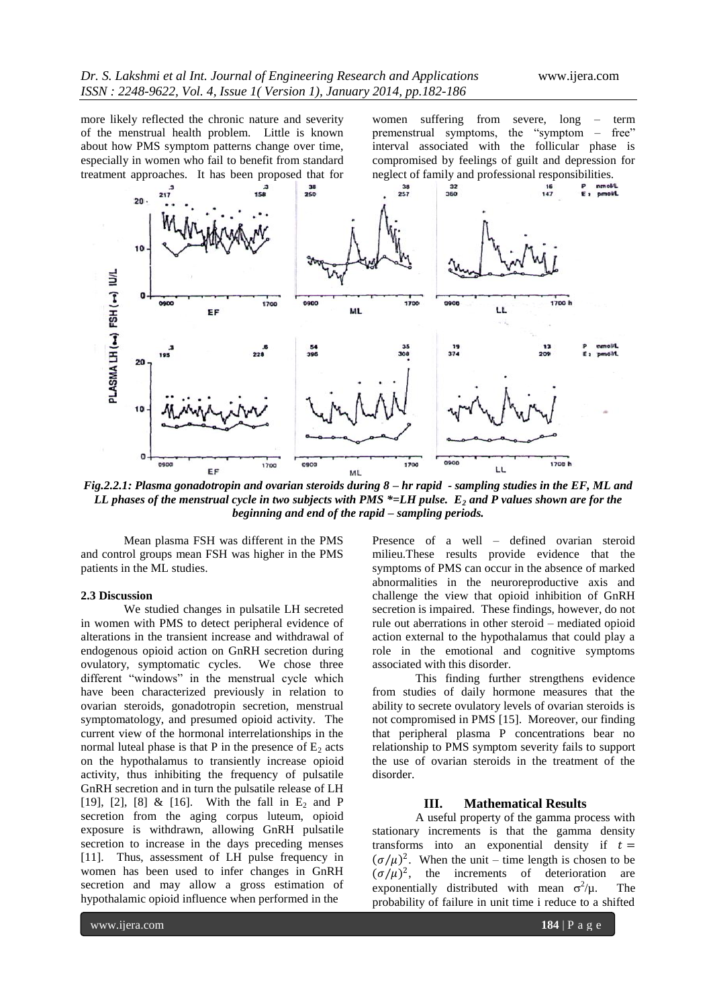more likely reflected the chronic nature and severity of the menstrual health problem. Little is known about how PMS symptom patterns change over time, especially in women who fail to benefit from standard treatment approaches. It has been proposed that for women suffering from severe, long – term premenstrual symptoms, the "symptom – free" interval associated with the follicular phase is compromised by feelings of guilt and depression for neglect of family and professional responsibilities.



*Fig.2.2.1: Plasma gonadotropin and ovarian steroids during 8 – hr rapid - sampling studies in the EF, ML and LL phases of the menstrual cycle in two subjects with PMS \*=LH pulse. E<sup>2</sup> and P values shown are for the beginning and end of the rapid – sampling periods.*

Mean plasma FSH was different in the PMS and control groups mean FSH was higher in the PMS patients in the ML studies.

### **2.3 Discussion**

We studied changes in pulsatile LH secreted in women with PMS to detect peripheral evidence of alterations in the transient increase and withdrawal of endogenous opioid action on GnRH secretion during ovulatory, symptomatic cycles. We chose three different "windows" in the menstrual cycle which have been characterized previously in relation to ovarian steroids, gonadotropin secretion, menstrual symptomatology, and presumed opioid activity. The current view of the hormonal interrelationships in the normal luteal phase is that P in the presence of  $E_2$  acts on the hypothalamus to transiently increase opioid activity, thus inhibiting the frequency of pulsatile GnRH secretion and in turn the pulsatile release of LH [19], [2], [8] & [16]. With the fall in  $E_2$  and P secretion from the aging corpus luteum, opioid exposure is withdrawn, allowing GnRH pulsatile secretion to increase in the days preceding menses [11]. Thus, assessment of LH pulse frequency in women has been used to infer changes in GnRH secretion and may allow a gross estimation of hypothalamic opioid influence when performed in the

Presence of a well – defined ovarian steroid milieu.These results provide evidence that the symptoms of PMS can occur in the absence of marked abnormalities in the neuroreproductive axis and challenge the view that opioid inhibition of GnRH secretion is impaired. These findings, however, do not rule out aberrations in other steroid – mediated opioid action external to the hypothalamus that could play a role in the emotional and cognitive symptoms associated with this disorder.

This finding further strengthens evidence from studies of daily hormone measures that the ability to secrete ovulatory levels of ovarian steroids is not compromised in PMS [15]. Moreover, our finding that peripheral plasma P concentrations bear no relationship to PMS symptom severity fails to support the use of ovarian steroids in the treatment of the disorder.

#### **III. Mathematical Results**

A useful property of the gamma process with stationary increments is that the gamma density transforms into an exponential density if  $t =$  $(\sigma/\mu)^2$ . When the unit – time length is chosen to be  $(\sigma/\mu)^2$ , the increments of deterioration are exponentially distributed with mean  $\sigma^2$ The probability of failure in unit time i reduce to a shifted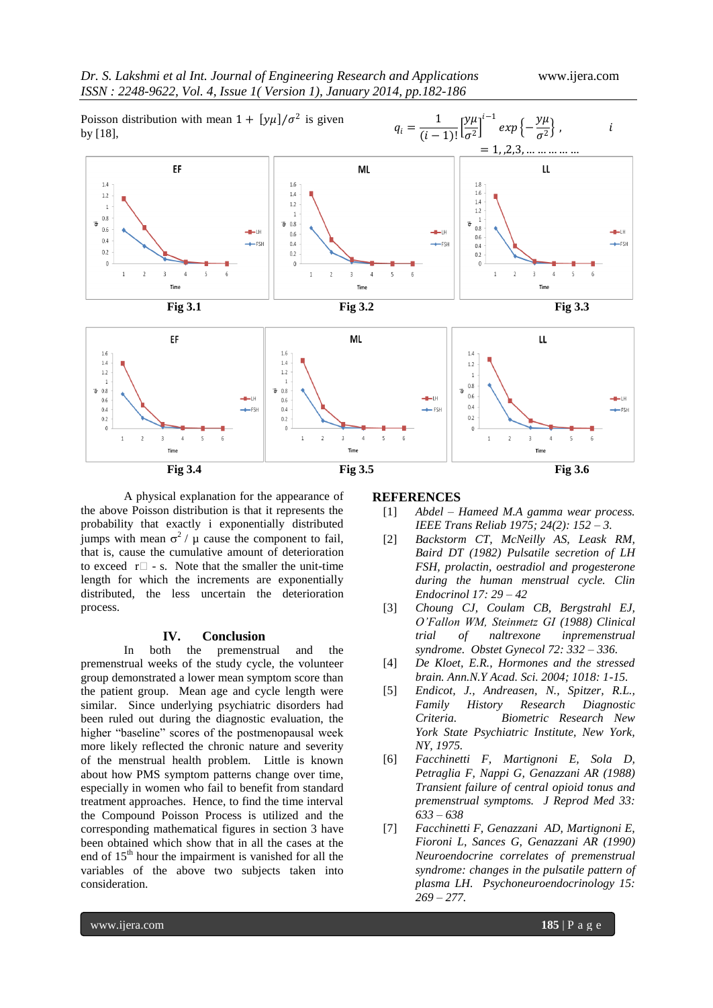

A physical explanation for the appearance of the above Poisson distribution is that it represents the probability that exactly i exponentially distributed jumps with mean  $\sigma^2$  /  $\mu$  cause the component to fail, that is, cause the cumulative amount of deterioration to exceed  $r \Box - s$ . Note that the smaller the unit-time length for which the increments are exponentially distributed, the less uncertain the deterioration process.

#### **IV. Conclusion**

In both the premenstrual and the premenstrual weeks of the study cycle, the volunteer group demonstrated a lower mean symptom score than the patient group. Mean age and cycle length were similar. Since underlying psychiatric disorders had been ruled out during the diagnostic evaluation, the higher "baseline" scores of the postmenopausal week more likely reflected the chronic nature and severity of the menstrual health problem. Little is known about how PMS symptom patterns change over time, especially in women who fail to benefit from standard treatment approaches. Hence, to find the time interval the Compound Poisson Process is utilized and the corresponding mathematical figures in section 3 have been obtained which show that in all the cases at the end of  $15<sup>th</sup>$  hour the impairment is vanished for all the variables of the above two subjects taken into consideration.

## **REFERENCES**

- [1] *Abdel – Hameed M.A gamma wear process. IEEE Trans Reliab 1975; 24(2): 152 – 3.*
- [2] *Backstorm CT, McNeilly AS, Leask RM, Baird DT (1982) Pulsatile secretion of LH FSH, prolactin, oestradiol and progesterone during the human menstrual cycle. Clin Endocrinol 17: 29 – 42*
- [3] *Choung CJ, Coulam CB, Bergstrahl EJ, O'Fallon WM, Steinmetz GI (1988) Clinical trial of naltrexone inpremenstrual syndrome. Obstet Gynecol 72: 332 – 336.*
- [4] *De Kloet, E.R., Hormones and the stressed brain. Ann.N.Y Acad. Sci. 2004; 1018: 1-15.*
- [5] *Endicot, J., Andreasen, N., Spitzer, R.L., Family History Research Diagnostic Criteria. Biometric Research New York State Psychiatric Institute, New York, NY, 1975.*
- [6] *Facchinetti F, Martignoni E, Sola D, Petraglia F, Nappi G, Genazzani AR (1988) Transient failure of central opioid tonus and premenstrual symptoms. J Reprod Med 33: 633 – 638*
- [7] *Facchinetti F, Genazzani AD, Martignoni E, Fioroni L, Sances G, Genazzani AR (1990) Neuroendocrine correlates of premenstrual syndrome: changes in the pulsatile pattern of plasma LH. Psychoneuroendocrinology 15: 269 – 277.*